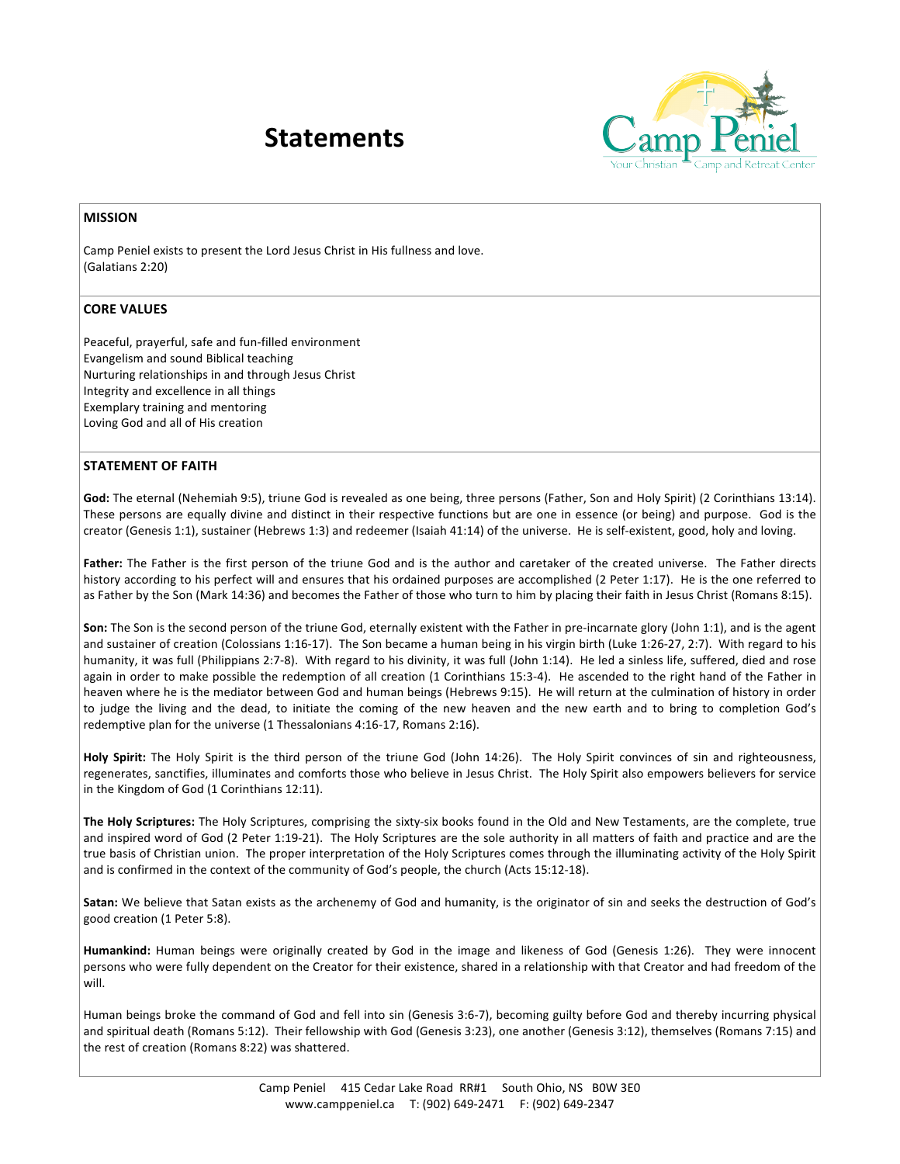## **Statements**



## **MISSION**

Camp Peniel exists to present the Lord Jesus Christ in His fullness and love. (Galatians 2:20)

## **CORE VALUES**

Peaceful, prayerful, safe and fun-filled environment Evangelism and sound Biblical teaching Nurturing relationships in and through Jesus Christ Integrity and excellence in all things Exemplary training and mentoring Loving God and all of His creation

## **STATEMENT OF FAITH**

God: The eternal (Nehemiah 9:5), triune God is revealed as one being, three persons (Father, Son and Holy Spirit) (2 Corinthians 13:14). These persons are equally divine and distinct in their respective functions but are one in essence (or being) and purpose. God is the creator (Genesis 1:1), sustainer (Hebrews 1:3) and redeemer (Isaiah 41:14) of the universe. He is self-existent, good, holy and loving.

Father: The Father is the first person of the triune God and is the author and caretaker of the created universe. The Father directs history according to his perfect will and ensures that his ordained purposes are accomplished (2 Peter 1:17). He is the one referred to as Father by the Son (Mark 14:36) and becomes the Father of those who turn to him by placing their faith in Jesus Christ (Romans 8:15).

Son: The Son is the second person of the triune God, eternally existent with the Father in pre-incarnate glory (John 1:1), and is the agent and sustainer of creation (Colossians 1:16-17). The Son became a human being in his virgin birth (Luke 1:26-27, 2:7). With regard to his humanity, it was full (Philippians 2:7-8). With regard to his divinity, it was full (John 1:14). He led a sinless life, suffered, died and rose again in order to make possible the redemption of all creation (1 Corinthians 15:3-4). He ascended to the right hand of the Father in heaven where he is the mediator between God and human beings (Hebrews 9:15). He will return at the culmination of history in order to judge the living and the dead, to initiate the coming of the new heaven and the new earth and to bring to completion God's redemptive plan for the universe (1 Thessalonians 4:16-17, Romans 2:16).

Holy Spirit: The Holy Spirit is the third person of the triune God (John 14:26). The Holy Spirit convinces of sin and righteousness, regenerates, sanctifies, illuminates and comforts those who believe in Jesus Christ. The Holy Spirit also empowers believers for service in the Kingdom of God (1 Corinthians 12:11).

The Holy Scriptures: The Holy Scriptures, comprising the sixty-six books found in the Old and New Testaments, are the complete, true and inspired word of God (2 Peter 1:19-21). The Holy Scriptures are the sole authority in all matters of faith and practice and are the true basis of Christian union. The proper interpretation of the Holy Scriptures comes through the illuminating activity of the Holy Spirit and is confirmed in the context of the community of God's people, the church (Acts 15:12-18).

Satan: We believe that Satan exists as the archenemy of God and humanity, is the originator of sin and seeks the destruction of God's good creation (1 Peter 5:8).

**Humankind:** Human beings were originally created by God in the image and likeness of God (Genesis 1:26). They were innocent persons who were fully dependent on the Creator for their existence, shared in a relationship with that Creator and had freedom of the will.

Human beings broke the command of God and fell into sin (Genesis 3:6-7), becoming guilty before God and thereby incurring physical and spiritual death (Romans 5:12). Their fellowship with God (Genesis 3:23), one another (Genesis 3:12), themselves (Romans 7:15) and the rest of creation (Romans 8:22) was shattered.